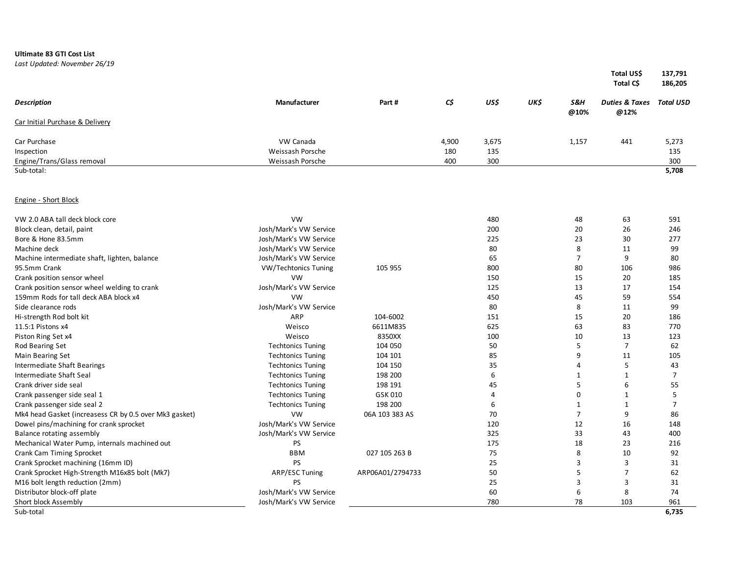## **Ultimate 83 GTI Cost List**

*Last Updated: November 26/19*

|                                                        |                          |                  |       |                |      |                | Total US\$<br>Total C\$                     | 137,791<br>186,205 |
|--------------------------------------------------------|--------------------------|------------------|-------|----------------|------|----------------|---------------------------------------------|--------------------|
| <b>Description</b>                                     | <b>Manufacturer</b>      | Part#            | C\$   | US\$           | UK\$ | S&H<br>@10%    | <b>Duties &amp; Taxes Total USD</b><br>@12% |                    |
| Car Initial Purchase & Delivery                        |                          |                  |       |                |      |                |                                             |                    |
| Car Purchase                                           | VW Canada                |                  | 4,900 | 3,675          |      | 1,157          | 441                                         | 5,273              |
| Inspection                                             | Weissash Porsche         |                  | 180   | 135            |      |                |                                             | 135                |
| Engine/Trans/Glass removal                             | Weissash Porsche         |                  | 400   | 300            |      |                |                                             | 300                |
| Sub-total:                                             |                          |                  |       |                |      |                |                                             | 5,708              |
| <b>Engine - Short Block</b>                            |                          |                  |       |                |      |                |                                             |                    |
| VW 2.0 ABA tall deck block core                        | <b>VW</b>                |                  |       | 480            |      | 48             | 63                                          | 591                |
| Block clean, detail, paint                             | Josh/Mark's VW Service   |                  |       | 200            |      | 20             | 26                                          | 246                |
| Bore & Hone 83.5mm                                     | Josh/Mark's VW Service   |                  |       | 225            |      | 23             | 30                                          | 277                |
| Machine deck                                           | Josh/Mark's VW Service   |                  |       | 80             |      | 8              | 11                                          | 99                 |
| Machine intermediate shaft, lighten, balance           | Josh/Mark's VW Service   |                  |       | 65             |      | $\overline{7}$ | 9                                           | 80                 |
| 95.5mm Crank                                           | VW/Techtonics Tuning     | 105 955          |       | 800            |      | 80             | 106                                         | 986                |
| Crank position sensor wheel                            | <b>VW</b>                |                  |       | 150            |      | 15             | 20                                          | 185                |
| Crank position sensor wheel welding to crank           | Josh/Mark's VW Service   |                  |       | 125            |      | 13             | 17                                          | 154                |
| 159mm Rods for tall deck ABA block x4                  | <b>VW</b>                |                  |       | 450            |      | 45             | 59                                          | 554                |
| Side clearance rods                                    | Josh/Mark's VW Service   |                  |       | 80             |      | 8              | 11                                          | 99                 |
| Hi-strength Rod bolt kit                               | ARP                      | 104-6002         |       | 151            |      | 15             | 20                                          | 186                |
| 11.5:1 Pistons x4                                      | Weisco                   | 6611M835         |       | 625            |      | 63             | 83                                          | 770                |
| Piston Ring Set x4                                     | Weisco                   | 8350XX           |       | 100            |      | 10             | 13                                          | 123                |
| Rod Bearing Set                                        | <b>Techtonics Tuning</b> | 104 050          |       | 50             |      | 5              | $\overline{7}$                              | 62                 |
| Main Bearing Set                                       | <b>Techtonics Tuning</b> | 104 101          |       | 85             |      | 9              | 11                                          | 105                |
| Intermediate Shaft Bearings                            | <b>Techtonics Tuning</b> | 104 150          |       | 35             |      | $\overline{4}$ | 5                                           | 43                 |
| Intermediate Shaft Seal                                | <b>Techtonics Tuning</b> | 198 200          |       | 6              |      | $\mathbf{1}$   | $\mathbf{1}$                                | $\overline{7}$     |
| Crank driver side seal                                 | <b>Techtonics Tuning</b> | 198 191          |       | 45             |      | 5              | 6                                           | 55                 |
| Crank passenger side seal 1                            | <b>Techtonics Tuning</b> | GSK 010          |       | $\overline{4}$ |      | $\Omega$       | $\mathbf{1}$                                | 5                  |
| Crank passenger side seal 2                            | <b>Techtonics Tuning</b> | 198 200          |       | 6              |      | $\mathbf{1}$   | $\mathbf{1}$                                | $\overline{7}$     |
| Mk4 head Gasket (increasess CR by 0.5 over Mk3 gasket) | VW                       | 06A 103 383 AS   |       | 70             |      | $\overline{7}$ | 9                                           | 86                 |
| Dowel pins/machining for crank sprocket                | Josh/Mark's VW Service   |                  |       | 120            |      | 12             | 16                                          | 148                |
| Balance rotating assembly                              | Josh/Mark's VW Service   |                  |       | 325            |      | 33             | 43                                          | 400                |
| Mechanical Water Pump, internals machined out          | <b>PS</b>                |                  |       | 175            |      | 18             | 23                                          | 216                |
| Crank Cam Timing Sprocket                              | <b>BBM</b>               | 027 105 263 B    |       | 75             |      | 8              | 10                                          | 92                 |
| Crank Sprocket machining (16mm ID)                     | <b>PS</b>                |                  |       | 25             |      | 3              | 3                                           | 31                 |
| Crank Sprocket High-Strength M16x85 bolt (Mk7)         | ARP/ESC Tuning           | ARP06A01/2794733 |       | 50             |      | 5              | $\overline{7}$                              | 62                 |
| M16 bolt length reduction (2mm)                        | <b>PS</b>                |                  |       | 25             |      | $\overline{3}$ | 3                                           | 31                 |
| Distributor block-off plate                            | Josh/Mark's VW Service   |                  |       | 60             |      | 6              | 8                                           | 74                 |
| Short block Assembly                                   | Josh/Mark's VW Service   |                  |       | 780            |      | 78             | 103                                         | 961                |
| Sub-total                                              |                          |                  |       |                |      |                |                                             | 6.735              |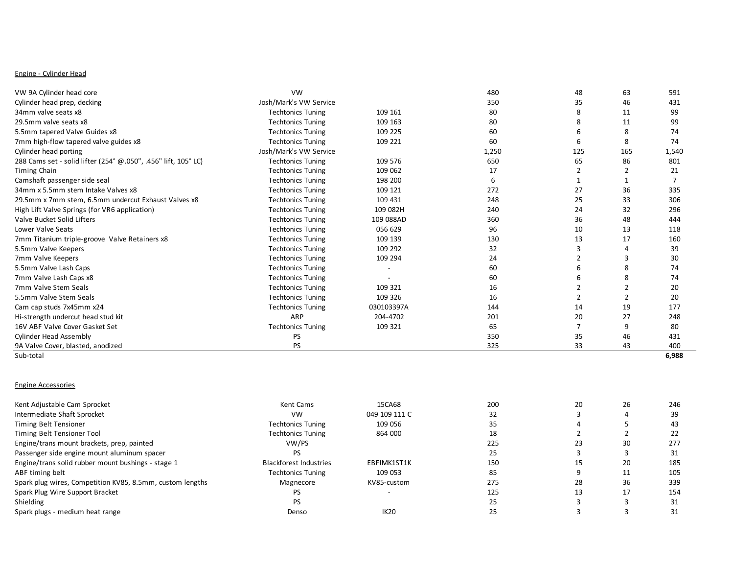# Engine - Cylinder Head

| VW 9A Cylinder head core                                       | <b>VW</b>                |            | 480   | 48  | 63  | 591   |
|----------------------------------------------------------------|--------------------------|------------|-------|-----|-----|-------|
| Cylinder head prep, decking                                    | Josh/Mark's VW Service   |            | 350   | 35  | 46  | 431   |
| 34mm valve seats x8                                            | <b>Techtonics Tuning</b> | 109 161    | 80    |     | 11  | 99    |
| 29.5mm valve seats x8                                          | <b>Techtonics Tuning</b> | 109 163    | 80    |     | 11  | 99    |
| 5.5mm tapered Valve Guides x8                                  | <b>Techtonics Tuning</b> | 109 225    | 60    |     |     | 74    |
| 7mm high-flow tapered valve guides x8                          | <b>Techtonics Tuning</b> | 109 221    | 60    |     | 8   | 74    |
| Cylinder head porting                                          | Josh/Mark's VW Service   |            | 1,250 | 125 | 165 | 1,540 |
| 288 Cams set - solid lifter (254° @.050", .456" lift, 105° LC) | <b>Techtonics Tuning</b> | 109 576    | 650   | 65  | 86  | 801   |
| <b>Timing Chain</b>                                            | <b>Techtonics Tuning</b> | 109 062    | 17    |     |     | 21    |
| Camshaft passenger side seal                                   | <b>Techtonics Tuning</b> | 198 200    | 6     |     |     |       |
| 34mm x 5.5mm stem Intake Valves x8                             | <b>Techtonics Tuning</b> | 109 121    | 272   | 27  | 36  | 335   |
| 29.5mm x 7mm stem, 6.5mm undercut Exhaust Valves x8            | <b>Techtonics Tuning</b> | 109 431    | 248   | 25  | 33  | 306   |
| High Lift Valve Springs (for VR6 application)                  | <b>Techtonics Tuning</b> | 109 082H   | 240   | 24  | 32  | 296   |
| Valve Bucket Solid Lifters                                     | <b>Techtonics Tuning</b> | 109 088AD  | 360   | 36  | 48  | 444   |
| <b>Lower Valve Seats</b>                                       | <b>Techtonics Tuning</b> | 056 629    | 96    | 10  | 13  | 118   |
| 7mm Titanium triple-groove Valve Retainers x8                  | <b>Techtonics Tuning</b> | 109 139    | 130   | 13  | 17  | 160   |
| 5.5mm Valve Keepers                                            | <b>Techtonics Tuning</b> | 109 292    | 32    |     |     | 39    |
| 7mm Valve Keepers                                              | <b>Techtonics Tuning</b> | 109 294    | 24    |     |     | 30    |
| 5.5mm Valve Lash Caps                                          | <b>Techtonics Tuning</b> |            | 60    |     |     | 74    |
| 7mm Valve Lash Caps x8                                         | <b>Techtonics Tuning</b> |            | 60    |     |     | 74    |
| 7mm Valve Stem Seals                                           | <b>Techtonics Tuning</b> | 109 321    | 16    |     |     | 20    |
| 5.5mm Valve Stem Seals                                         | <b>Techtonics Tuning</b> | 109 326    | 16    |     |     | 20    |
| Cam cap studs 7x45mm x24                                       | <b>Techtonics Tuning</b> | 030103397A | 144   | 14  | 19  | 177   |
| Hi-strength undercut head stud kit                             | <b>ARP</b>               | 204-4702   | 201   | 20  | 27  | 248   |
| 16V ABF Valve Cover Gasket Set                                 | <b>Techtonics Tuning</b> | 109 321    | 65    |     | q   | 80    |
| <b>Cylinder Head Assembly</b>                                  | <b>PS</b>                |            | 350   | 35  | 46  | 431   |
| 9A Valve Cover, blasted, anodized                              | PS                       |            | 325   | 33  | 43  | 400   |
| Sub-total                                                      |                          |            |       |     |     | 6,988 |

#### Engine Accessories

| Kent Adjustable Cam Sprocket                              | Kent Cams                     | 15CA68        | 200 | 20 | 26 | 246 |
|-----------------------------------------------------------|-------------------------------|---------------|-----|----|----|-----|
| Intermediate Shaft Sprocket                               | <b>VW</b>                     | 049 109 111 C | 32  |    |    | 39  |
| Timing Belt Tensioner                                     | <b>Techtonics Tuning</b>      | 109 056       | 35  |    |    | 43  |
| Timing Belt Tensioner Tool                                | <b>Techtonics Tuning</b>      | 864 000       | 18  |    |    | 22  |
| Engine/trans mount brackets, prep, painted                | VW/PS                         |               | 225 | 23 | 30 | 277 |
| Passenger side engine mount aluminum spacer               | PS                            |               | 25  |    |    | 31  |
| Engine/trans solid rubber mount bushings - stage 1        | <b>Blackforest Industries</b> | EBFIMK1ST1K   | 150 | 15 | 20 | 185 |
| ABF timing belt                                           | <b>Techtonics Tuning</b>      | 109 053       | 85  |    | 11 | 105 |
| Spark plug wires, Competition KV85, 8.5mm, custom lengths | Magnecore                     | KV85-custom   | 275 | 28 | 36 | 339 |
| Spark Plug Wire Support Bracket                           | PS                            |               | 125 | 13 | 17 | 154 |
| Shielding                                                 | PS                            |               | 25  |    |    | 31  |
| Spark plugs - medium heat range                           | Denso                         | <b>IK20</b>   | 25  |    |    | 31  |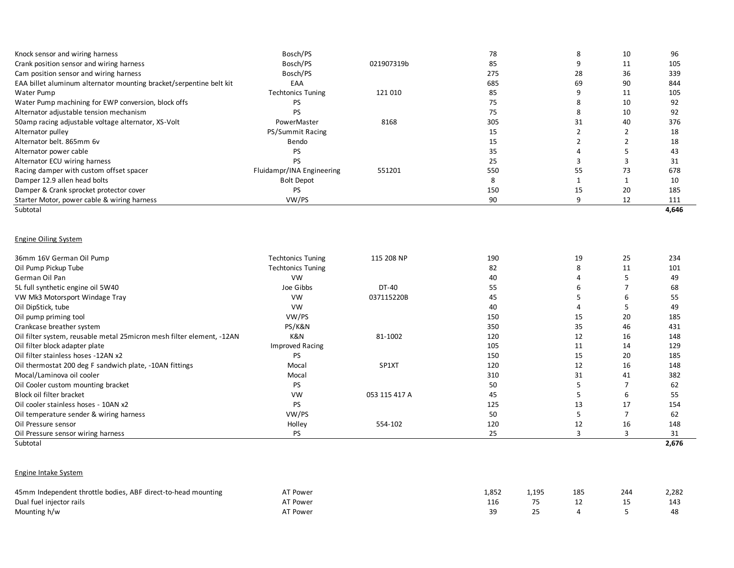| Knock sensor and wiring harness                                     | Bosch/PS                  |            | 78  | 8  | 10 | 96    |
|---------------------------------------------------------------------|---------------------------|------------|-----|----|----|-------|
| Crank position sensor and wiring harness                            | Bosch/PS                  | 021907319b | 85  |    | 11 | 105   |
| Cam position sensor and wiring harness                              | Bosch/PS                  |            | 275 | 28 | 36 | 339   |
| EAA billet aluminum alternator mounting bracket/serpentine belt kit | EAA                       |            | 685 | 69 | 90 | 844   |
| Water Pump                                                          | <b>Techtonics Tuning</b>  | 121 010    | 85  |    | 11 | 105   |
| Water Pump machining for EWP conversion, block offs                 | PS.                       |            | 75  |    | 10 | 92    |
| Alternator adjustable tension mechanism                             | PS                        |            | 75  |    | 10 | 92    |
| 50amp racing adjustable voltage alternator, XS-Volt                 | PowerMaster               | 8168       | 305 | 31 | 40 | 376   |
| Alternator pulley                                                   | PS/Summit Racing          |            | 15  |    |    | 18    |
| Alternator belt, 865mm 6y                                           | Bendo                     |            | 15  |    |    | 18    |
| Alternator power cable                                              | PS                        |            | 35  |    |    | 43    |
| Alternator ECU wiring harness                                       | PS                        |            | 25  |    |    | 31    |
| Racing damper with custom offset spacer                             | Fluidampr/INA Engineering | 551201     | 550 | 55 | 73 | 678   |
| Damper 12.9 allen head bolts                                        | <b>Bolt Depot</b>         |            | 8   |    |    | 10    |
| Damper & Crank sprocket protector cover                             | PS.                       |            | 150 | 15 | 20 | 185   |
| Starter Motor, power cable & wiring harness                         | VW/PS                     |            | 90  | 9  | 12 | 111   |
| Subtotal                                                            |                           |            |     |    |    | 4,646 |
| <b>Engine Oiling System</b>                                         |                           |            |     |    |    |       |
| 36mm 16V German Oil Pump                                            | <b>Techtonics Tuning</b>  | 115 208 NP | 190 | 19 | 25 | 234   |
| Oil Pump Pickup Tube                                                | <b>Techtonics Tuning</b>  |            | 82  |    | 11 | 101   |
| German Oil Pan                                                      | <b>VW</b>                 |            | 40  |    |    | 49    |
| 5L full synthetic engine oil 5W40                                   | Joe Gibbs                 | DT-40      | 55  | 6  |    | 68    |

| German Oil Pan                                                         | <b>VW</b>              |               | 40  |    |    | 49    |
|------------------------------------------------------------------------|------------------------|---------------|-----|----|----|-------|
| 5L full synthetic engine oil 5W40                                      | Joe Gibbs              | DT-40         | 55  | h  |    | 68    |
| VW Mk3 Motorsport Windage Tray                                         | <b>VW</b>              | 037115220B    | 45  |    |    | 55    |
| Oil DipStick, tube                                                     | <b>VW</b>              |               | 40  |    |    | 49    |
| Oil pump priming tool                                                  | VW/PS                  |               | 150 | 15 | 20 | 185   |
| Crankcase breather system                                              | PS/K&N                 |               | 350 | 35 | 46 | 431   |
| Oil filter system, reusable metal 25 micron mesh filter element, -12AN | K&N                    | 81-1002       | 120 | 12 | 16 | 148   |
| Oil filter block adapter plate                                         | <b>Improved Racing</b> |               | 105 | 11 | 14 | 129   |
| Oil filter stainless hoses -12AN x2                                    | PS                     |               | 150 | 15 | 20 | 185   |
| Oil thermostat 200 deg F sandwich plate, -10AN fittings                | Mocal                  | SP1XT         | 120 | 12 | 16 | 148   |
| Mocal/Laminova oil cooler                                              | Mocal                  |               | 310 | 31 | 41 | 382   |
| Oil Cooler custom mounting bracket                                     | PS                     |               | 50  |    |    | 62    |
| Block oil filter bracket                                               | <b>VW</b>              | 053 115 417 A | 45  |    |    | 55    |
| Oil cooler stainless hoses - 10AN x2                                   | PS                     |               | 125 | 13 | 17 | 154   |
| Oil temperature sender & wiring harness                                | VW/PS                  |               | 50  |    |    | 62    |
| Oil Pressure sensor                                                    | Holley                 | 554-102       | 120 | 12 | 16 | 148   |
| Oil Pressure sensor wiring harness                                     | PS                     |               | 25  |    |    | 31    |
| Subtotal                                                               |                        |               |     |    |    | 2,676 |

## Engine Intake System

| 45mm Independent throttle bodies, ABF direct-to-head mounting | <b>AT Power</b> | 852,ء | 1,195 | 185 | 244 | 2,282 |
|---------------------------------------------------------------|-----------------|-------|-------|-----|-----|-------|
| Dual fuel injector rails                                      | AT Power        |       |       |     |     | 143   |
| Mounting h/w                                                  | AT Power        |       |       |     |     | 48    |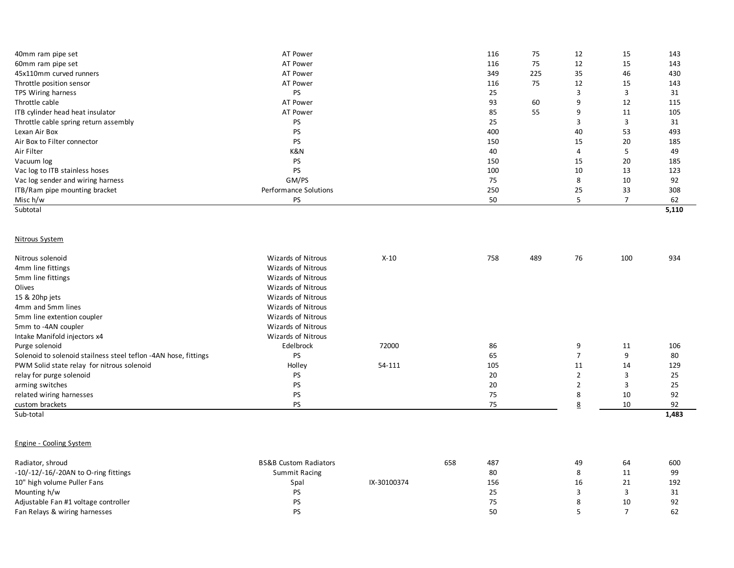| 40mm ram pipe set                                               | AT Power                         |             |     | 116 | 75  | 12             | 15             | 143   |
|-----------------------------------------------------------------|----------------------------------|-------------|-----|-----|-----|----------------|----------------|-------|
| 60mm ram pipe set                                               | AT Power                         |             |     | 116 | 75  | 12             | 15             | 143   |
| 45x110mm curved runners                                         | AT Power                         |             |     | 349 | 225 | 35             | 46             | 430   |
| Throttle position sensor                                        | AT Power                         |             |     | 116 | 75  | 12             | 15             | 143   |
| TPS Wiring harness                                              | PS                               |             |     | 25  |     | 3              | 3              | 31    |
| Throttle cable                                                  | AT Power                         |             |     | 93  | 60  | 9              | 12             | 115   |
| ITB cylinder head heat insulator                                | AT Power                         |             |     | 85  | 55  | 9              | 11             | 105   |
| Throttle cable spring return assembly                           | PS                               |             |     | 25  |     | 3              | 3              | 31    |
| Lexan Air Box                                                   | PS                               |             |     | 400 |     | 40             | 53             | 493   |
| Air Box to Filter connector                                     | <b>PS</b>                        |             |     | 150 |     | 15             | 20             | 185   |
| Air Filter                                                      | K&N                              |             |     | 40  |     | 4              | 5              | 49    |
| Vacuum log                                                      | <b>PS</b>                        |             |     | 150 |     | 15             | 20             | 185   |
| Vac log to ITB stainless hoses                                  | <b>PS</b>                        |             |     | 100 |     | 10             | 13             | 123   |
| Vac log sender and wiring harness                               | GM/PS                            |             |     | 75  |     | 8              | 10             | 92    |
|                                                                 | Performance Solutions            |             |     | 250 |     | 25             | 33             | 308   |
| ITB/Ram pipe mounting bracket                                   |                                  |             |     | 50  |     | 5              | $\overline{7}$ | 62    |
| Misc h/w<br>Subtotal                                            | <b>PS</b>                        |             |     |     |     |                |                | 5,110 |
|                                                                 |                                  |             |     |     |     |                |                |       |
|                                                                 |                                  |             |     |     |     |                |                |       |
|                                                                 |                                  |             |     |     |     |                |                |       |
| Nitrous System                                                  |                                  |             |     |     |     |                |                |       |
|                                                                 |                                  |             |     |     |     |                |                |       |
| Nitrous solenoid                                                | <b>Wizards of Nitrous</b>        | $X-10$      |     | 758 | 489 | 76             | 100            | 934   |
| 4mm line fittings                                               | Wizards of Nitrous               |             |     |     |     |                |                |       |
| 5mm line fittings                                               | <b>Wizards of Nitrous</b>        |             |     |     |     |                |                |       |
| Olives                                                          | Wizards of Nitrous               |             |     |     |     |                |                |       |
| 15 & 20hp jets                                                  | Wizards of Nitrous               |             |     |     |     |                |                |       |
| 4mm and 5mm lines                                               | <b>Wizards of Nitrous</b>        |             |     |     |     |                |                |       |
| 5mm line extention coupler                                      | <b>Wizards of Nitrous</b>        |             |     |     |     |                |                |       |
| 5mm to -4AN coupler                                             | <b>Wizards of Nitrous</b>        |             |     |     |     |                |                |       |
| Intake Manifold injectors x4                                    | Wizards of Nitrous               |             |     |     |     |                |                |       |
| Purge solenoid                                                  | Edelbrock                        | 72000       |     | 86  |     | 9              | 11             | 106   |
| Solenoid to solenoid stailness steel teflon -4AN hose, fittings | PS                               |             |     | 65  |     | $\overline{7}$ | 9              | 80    |
| PWM Solid state relay for nitrous solenoid                      | Holley                           | 54-111      |     | 105 |     | 11             | 14             | 129   |
| relay for purge solenoid                                        | PS                               |             |     | 20  |     | $\overline{2}$ | 3              | 25    |
| arming switches                                                 | <b>PS</b>                        |             |     | 20  |     | $\overline{2}$ | 3              | 25    |
| related wiring harnesses                                        | <b>PS</b>                        |             |     | 75  |     | 8              | 10             | 92    |
| custom brackets                                                 | <b>PS</b>                        |             |     | 75  |     | 8              | 10             | 92    |
| Sub-total                                                       |                                  |             |     |     |     |                |                | 1,483 |
|                                                                 |                                  |             |     |     |     |                |                |       |
|                                                                 |                                  |             |     |     |     |                |                |       |
| <b>Engine - Cooling System</b>                                  |                                  |             |     |     |     |                |                |       |
|                                                                 |                                  |             |     |     |     |                |                |       |
| Radiator, shroud                                                | <b>BS&amp;B Custom Radiators</b> |             | 658 | 487 |     | 49             | 64             | 600   |
| $-10/-12/-16/-20AN$ to O-ring fittings                          | <b>Summit Racing</b>             |             |     | 80  |     | 8              | 11             | 99    |
| 10" high volume Puller Fans                                     | Spal                             | IX-30100374 |     | 156 |     | 16             | 21             | 192   |
| Mounting h/w                                                    | PS                               |             |     | 25  |     | $\overline{3}$ | 3              | 31    |
| Adjustable Fan #1 voltage controller                            | PS                               |             |     | 75  |     | 8              | 10             | 92    |
| Fan Relays & wiring harnesses                                   | <b>PS</b>                        |             |     | 50  |     | 5              | $\overline{7}$ | 62    |
|                                                                 |                                  |             |     |     |     |                |                |       |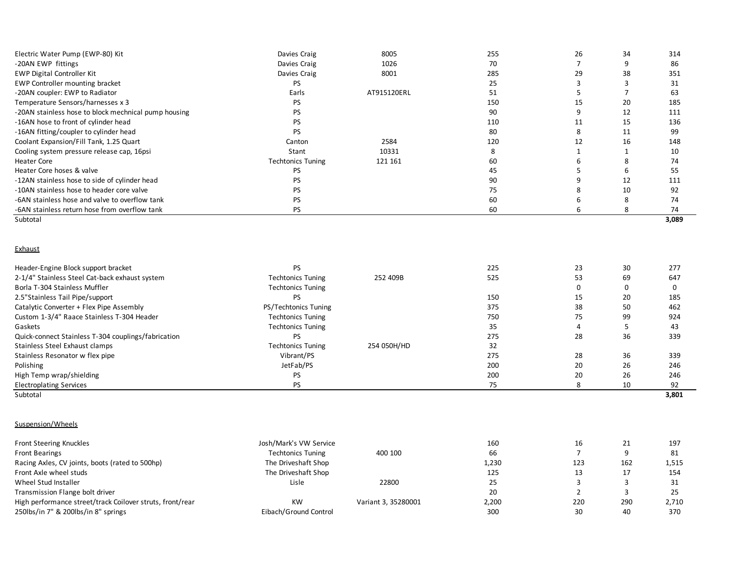|                          |             |     |    |    | 3,089 |
|--------------------------|-------------|-----|----|----|-------|
| PS                       |             | 60  |    | 8  | 74    |
| PS                       |             | 60  |    |    | 74    |
| PS                       |             | 75  |    | 10 | 92    |
| PS                       |             | 90  |    | 12 | 111   |
| PS                       |             | 45  |    |    | 55    |
| <b>Techtonics Tuning</b> | 121 161     | 60  |    |    | 74    |
| Stant                    | 10331       |     |    |    | 10    |
| Canton                   | 2584        | 120 | 12 | 16 | 148   |
| PS                       |             | 80  |    | 11 | 99    |
| PS                       |             | 110 |    | 15 | 136   |
| PS                       |             | 90  |    | 12 | 111   |
| PS                       |             | 150 | 15 | 20 | 185   |
| Earls                    | AT915120ERL | 51  |    |    | 63    |
| PS                       |             | 25  |    |    | 31    |
| Davies Craig             | 8001        | 285 | 29 | 38 | 351   |
| Davies Craig             | 1026        | 70  |    |    | 86    |
| Davies Craig             | 8005        | 255 | 26 | 34 | 314   |
|                          |             |     |    |    |       |

#### **Exhaust**

| Header-Engine Block support bracket                 | PS                       |             | 225 | 23 | 30 | 277   |
|-----------------------------------------------------|--------------------------|-------------|-----|----|----|-------|
| 2-1/4" Stainless Steel Cat-back exhaust system      | <b>Techtonics Tuning</b> | 252 409B    | 525 | 53 | 69 | 647   |
| Borla T-304 Stainless Muffler                       | <b>Techtonics Tuning</b> |             |     | 0  |    |       |
| 2.5"Stainless Tail Pipe/support                     | PS                       |             | 150 | 15 | 20 | 185   |
| Catalytic Converter + Flex Pipe Assembly            | PS/Techtonics Tuning     |             | 375 | 38 | 50 | 462   |
| Custom 1-3/4" Raace Stainless T-304 Header          | <b>Techtonics Tuning</b> |             | 750 | 75 | 99 | 924   |
| Gaskets                                             | <b>Techtonics Tuning</b> |             | 35  |    |    | 43    |
| Quick-connect Stainless T-304 couplings/fabrication | PS                       |             | 275 | 28 | 36 | 339   |
| Stainless Steel Exhaust clamps                      | <b>Techtonics Tuning</b> | 254 050H/HD | 32  |    |    |       |
| Stainless Resonator w flex pipe                     | Vibrant/PS               |             | 275 | 28 | 36 | 339   |
| Polishing                                           | JetFab/PS                |             | 200 | 20 | 26 | 246   |
| High Temp wrap/shielding                            | PS                       |             | 200 | 20 | 26 | 246   |
| <b>Electroplating Services</b>                      | PS                       |             | 75  |    | 10 | 92    |
| Subtotal                                            |                          |             |     |    |    | 3,801 |

# Suspension/Wheels

| Front Steering Knuckles                                   | Josh/Mark's VW Service   |                     | 160   | 16  | 21  | 197   |
|-----------------------------------------------------------|--------------------------|---------------------|-------|-----|-----|-------|
| <b>Front Bearings</b>                                     | <b>Techtonics Tuning</b> | 400 100             | 66    |     |     | 81    |
| Racing Axles, CV joints, boots (rated to 500hp)           | The Driveshaft Shop      |                     | 1,230 | 123 | 162 | 1,515 |
| Front Axle wheel studs                                    | The Driveshaft Shop      |                     | 125   | ᆦ   | 17  | 154   |
| Wheel Stud Installer                                      | Lisle                    | 22800               | 25    |     |     |       |
| Transmission Flange bolt driver                           |                          |                     | 20    |     |     | 25    |
| High performance street/track Coilover struts, front/rear | <b>KW</b>                | Variant 3, 35280001 | 2,200 | 220 | 290 | 2,710 |
| 250lbs/in 7" & 200lbs/in 8" springs                       | Eibach/Ground Control    |                     | 300   | 30  | 40  | 370   |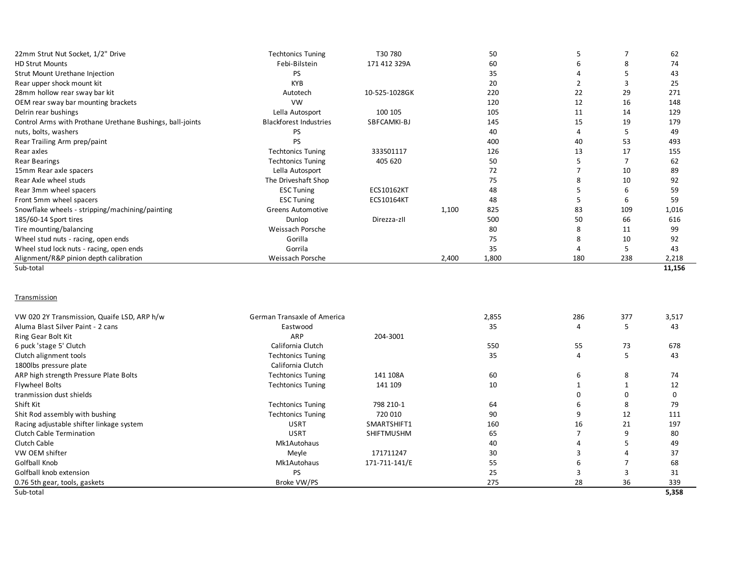| 22mm Strut Nut Socket, 1/2" Drive                         | <b>Techtonics Tuning</b>      | T30 780           |       | 50    |     |     | 62     |
|-----------------------------------------------------------|-------------------------------|-------------------|-------|-------|-----|-----|--------|
| <b>HD Strut Mounts</b>                                    | Febi-Bilstein                 | 171 412 329A      |       | 60    |     | 8   | 74     |
| Strut Mount Urethane Injection                            | <b>PS</b>                     |                   |       | 35    |     |     | 43     |
| Rear upper shock mount kit                                | <b>KYB</b>                    |                   |       | 20    |     |     | 25     |
| 28mm hollow rear sway bar kit                             | Autotech                      | 10-525-1028GK     |       | 220   | 22  | 29  | 271    |
| OEM rear sway bar mounting brackets                       | <b>VW</b>                     |                   |       | 120   | 12  | 16  | 148    |
| Delrin rear bushings                                      | Lella Autosport               | 100 105           |       | 105   | 11  | 14  | 129    |
| Control Arms with Prothane Urethane Bushings, ball-joints | <b>Blackforest Industries</b> | SBFCAMKI-BJ       |       | 145   | 15  | 19  | 179    |
| nuts, bolts, washers                                      | <b>PS</b>                     |                   |       | 40    |     | 5   | 49     |
| Rear Trailing Arm prep/paint                              | PS                            |                   |       | 400   | 40  | 53  | 493    |
| Rear axles                                                | <b>Techtonics Tuning</b>      | 333501117         |       | 126   | 13  | 17  | 155    |
| <b>Rear Bearings</b>                                      | <b>Techtonics Tuning</b>      | 405 620           |       | 50    |     |     | 62     |
| 15mm Rear axle spacers                                    | Lella Autosport               |                   |       | 72    |     | 10  | 89     |
| Rear Axle wheel studs                                     | The Driveshaft Shop           |                   |       | 75    |     | 10  | 92     |
| Rear 3mm wheel spacers                                    | <b>ESC Tuning</b>             | <b>ECS10162KT</b> |       | 48    |     | 6   | 59     |
| Front 5mm wheel spacers                                   | <b>ESC Tuning</b>             | <b>ECS10164KT</b> |       | 48    |     | 6   | 59     |
| Snowflake wheels - stripping/machining/painting           | <b>Greens Automotive</b>      |                   | 1,100 | 825   | 83  | 109 | 1,016  |
| 185/60-14 Sport tires                                     | Dunlop                        | Direzza-zll       |       | 500   | 50  | 66  | 616    |
| Tire mounting/balancing                                   | Weissach Porsche              |                   |       | 80    | 8   | 11  | 99     |
| Wheel stud nuts - racing, open ends                       | Gorilla                       |                   |       | 75    |     | 10  | 92     |
| Wheel stud lock nuts - racing, open ends                  | Gorrila                       |                   |       | 35    |     | -5  | 43     |
| Alignment/R&P pinion depth calibration                    | Weissach Porsche              |                   | 2,400 | 1,800 | 180 | 238 | 2,218  |
| Sub-total                                                 |                               |                   |       |       |     |     | 11,156 |
|                                                           |                               |                   |       |       |     |     |        |

#### **Transmission**

| VW 020 2Y Transmission, Quaife LSD, ARP h/w | <b>German Transaxle of America</b> |                   | 2,855 | 286 | 377 | 3,517 |
|---------------------------------------------|------------------------------------|-------------------|-------|-----|-----|-------|
| Aluma Blast Silver Paint - 2 cans           | Eastwood                           |                   | 35    |     |     | 43    |
| Ring Gear Bolt Kit                          | ARP                                | 204-3001          |       |     |     |       |
| 6 puck 'stage 5' Clutch                     | California Clutch                  |                   | 550   | 55  | 73  | 678   |
| Clutch alignment tools                      | <b>Techtonics Tuning</b>           |                   | 35    |     |     | 43    |
| 1800lbs pressure plate                      | California Clutch                  |                   |       |     |     |       |
| ARP high strength Pressure Plate Bolts      | <b>Techtonics Tuning</b>           | 141 108A          | 60    | ь   | 8   | 74    |
| Flywheel Bolts                              | <b>Techtonics Tuning</b>           | 141 109           | 10    |     |     | 12    |
| tranmission dust shields                    |                                    |                   |       |     |     | 0     |
| Shift Kit                                   | <b>Techtonics Tuning</b>           | 798 210-1         | 64    |     | ŏ   | 79    |
| Shit Rod assembly with bushing              | <b>Techtonics Tuning</b>           | 720 010           | 90    |     | 12  | 111   |
| Racing adjustable shifter linkage system    | <b>USRT</b>                        | SMARTSHIFT1       | 160   | 16  | 21  | 197   |
| Clutch Cable Termination                    | <b>USRT</b>                        | <b>SHIFTMUSHM</b> | 65    |     |     | 80    |
| Clutch Cable                                | Mk1Autohaus                        |                   | 40    |     |     | 49    |
| VW OEM shifter                              | Meyle                              | 171711247         | 30    |     |     | 37    |
| Golfball Knob                               | Mk1Autohaus                        | 171-711-141/E     | 55    |     |     | 68    |
| Golfball knob extension                     | <b>PS</b>                          |                   | 25    |     |     | 31    |
| 0.76 5th gear, tools, gaskets               | Broke VW/PS                        |                   | 275   | 28  | 36  | 339   |
| Sub-total                                   |                                    |                   |       |     |     | 5,358 |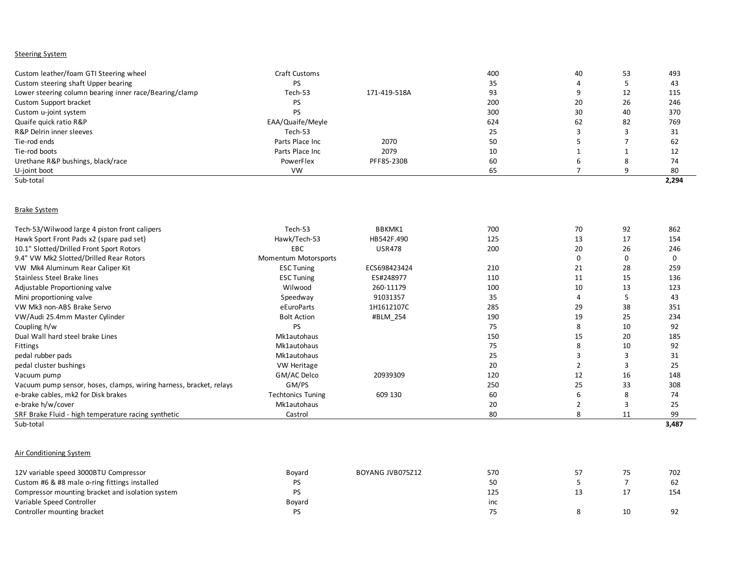### **Steering System**

| Custom leather/foam GTI Steering wheel                 | Craft Customs    |              | 400 | 40 | 53 | 493   |
|--------------------------------------------------------|------------------|--------------|-----|----|----|-------|
| Custom steering shaft Upper bearing                    | PS               |              | 35  |    |    | 43    |
| Lower steering column bearing inner race/Bearing/clamp | Tech-53          | 171-419-518A | 93  |    | 12 | 115   |
| Custom Support bracket                                 | PS               |              | 200 | 20 | 26 | 246   |
| Custom u-joint system                                  | PS               |              | 300 | 30 | 40 | 370   |
| Quaife quick ratio R&P                                 | EAA/Quaife/Meyle |              | 624 | 62 | 82 | 769   |
| R&P Delrin inner sleeves                               | Tech-53          |              | 25  |    |    | 31    |
| Tie-rod ends                                           | Parts Place Inc  | 2070         | 50  |    |    | 62    |
| Tie-rod boots                                          | Parts Place Inc. | 2079         | 10  |    |    | 12    |
| Urethane R&P bushings, black/race                      | PowerFlex        | PFF85-230B   | 60  |    |    | 74    |
| U-joint boot                                           | <b>VW</b>        |              | 65  |    |    | 80    |
| Sub-total                                              |                  |              |     |    |    | 2,294 |

### Brake System

| Tech-53/Wilwood large 4 piston front calipers                      | Tech-53                  | BBKMK1        | 700 | 70 | 92 | 862   |
|--------------------------------------------------------------------|--------------------------|---------------|-----|----|----|-------|
| Hawk Sport Front Pads x2 (spare pad set)                           | Hawk/Tech-53             | HB542F.490    | 125 | 13 | 17 | 154   |
| 10.1" Slotted/Drilled Front Sport Rotors                           | EBC                      | <b>USR478</b> | 200 | 20 | 26 | 246   |
| 9.4" VW Mk2 Slotted/Drilled Rear Rotors                            | Momentum Motorsports     |               |     | 0  |    |       |
| VW Mk4 Aluminum Rear Caliper Kit                                   | <b>ESC Tuning</b>        | ECS698423424  | 210 | 21 | 28 | 259   |
| Stainless Steel Brake lines                                        | <b>ESC Tuning</b>        | ES#248977     | 110 | 11 | 15 | 136   |
| Adjustable Proportioning valve                                     | Wilwood                  | 260-11179     | 100 | 10 | 13 | 123   |
| Mini proportioning valve                                           | Speedway                 | 91031357      | 35  |    |    | 43    |
| VW Mk3 non-ABS Brake Servo                                         | eEuroParts               | 1H1612107C    | 285 | 29 | 38 | 351   |
| VW/Audi 25.4mm Master Cylinder                                     | <b>Bolt Action</b>       | #BLM 254      | 190 | 19 | 25 | 234   |
| Coupling h/w                                                       | PS.                      |               | 75  | 8  | 10 | 92    |
| Dual Wall hard steel brake Lines                                   | Mk1autohaus              |               | 150 | 15 | 20 | 185   |
| Fittings                                                           | Mk1autohaus              |               | 75  | 8  | 10 | 92    |
| pedal rubber pads                                                  | Mk1autohaus              |               | 25  |    |    | 31    |
| pedal cluster bushings                                             | <b>VW Heritage</b>       |               | 20  |    |    | 25    |
| Vacuum pump                                                        | GM/AC Delco              | 20939309      | 120 | 12 | 16 | 148   |
| Vacuum pump sensor, hoses, clamps, wiring harness, bracket, relays | GM/PS                    |               | 250 | 25 | 33 | 308   |
| e-brake cables, mk2 for Disk brakes                                | <b>Techtonics Tuning</b> | 609 130       | 60  | 6  |    | 74    |
| e-brake h/w/cover                                                  | Mk1autohaus              |               | 20  |    |    | 25    |
| SRF Brake Fluid - high temperature racing synthetic                | Castrol                  |               | 80  | 8  | 11 | 99    |
| Sub-total                                                          |                          |               |     |    |    | 3,487 |

### Air Conditioning System

| 12V variable speed 3000BTU Compressor            | Bovard | BOYANG JVB075Z12 | 570 | 75 | 702 |
|--------------------------------------------------|--------|------------------|-----|----|-----|
| Custom #6 & #8 male o-ring fittings installed    |        |                  | 50  |    | 62  |
| Compressor mounting bracket and isolation system |        |                  | 125 | 17 | 154 |
| Variable Speed Controller                        | Boyard |                  | inc |    |     |
| Controller mounting bracket                      |        |                  |     | 10 | 92  |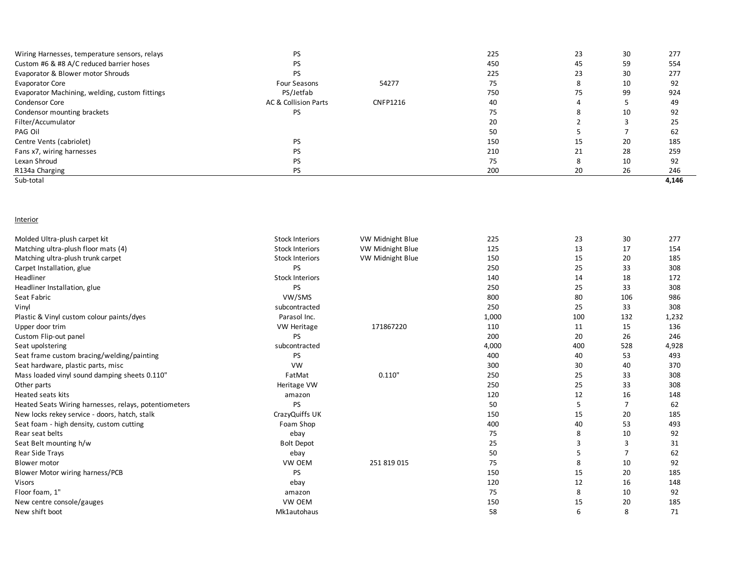| Wiring Harnesses, temperature sensors, relays  | <b>PS</b>            |                 | 225 | 23 | 30 | 277   |
|------------------------------------------------|----------------------|-----------------|-----|----|----|-------|
| Custom #6 & #8 A/C reduced barrier hoses       | <b>PS</b>            |                 | 450 | 45 | 59 | 554   |
| Evaporator & Blower motor Shrouds              | <b>PS</b>            |                 | 225 | 23 | 30 | 277   |
| <b>Evaporator Core</b>                         | Four Seasons         | 54277           | 75  |    | 10 | 92    |
| Evaporator Machining, welding, custom fittings | PS/Jetfab            |                 | 750 | 75 | 99 | 924   |
| <b>Condensor Core</b>                          | AC & Collision Parts | <b>CNFP1216</b> | 40  |    |    | 49    |
| Condensor mounting brackets                    | PS.                  |                 | 75  |    | 10 | 92    |
| Filter/Accumulator                             |                      |                 | 20  |    |    | 25    |
| PAG Oil                                        |                      |                 | 50  |    |    | 62    |
| Centre Vents (cabriolet)                       | <b>PS</b>            |                 | 150 | 15 | 20 | 185   |
| Fans x7, wiring harnesses                      | <b>PS</b>            |                 | 210 | 21 | 28 | 259   |
| Lexan Shroud                                   | <b>PS</b>            |                 | 75  | 8  | 10 | 92    |
| R134a Charging                                 | <b>PS</b>            |                 | 200 | 20 | 26 | 246   |
| Sub-total                                      |                      |                 |     |    |    | 4,146 |

### **Interior**

| Molded Ultra-plush carpet kit                         | <b>Stock Interiors</b> | VW Midnight Blue | 225   | 23  | 30  | 277   |
|-------------------------------------------------------|------------------------|------------------|-------|-----|-----|-------|
| Matching ultra-plush floor mats (4)                   | <b>Stock Interiors</b> | VW Midnight Blue | 125   | 13  | 17  | 154   |
| Matching ultra-plush trunk carpet                     | <b>Stock Interiors</b> | VW Midnight Blue | 150   | 15  | 20  | 185   |
| Carpet Installation, glue                             | PS.                    |                  | 250   | 25  | 33  | 308   |
| Headliner                                             | <b>Stock Interiors</b> |                  | 140   | 14  | 18  | 172   |
| Headliner Installation, glue                          | <b>PS</b>              |                  | 250   | 25  | 33  | 308   |
| Seat Fabric                                           | VW/SMS                 |                  | 800   | 80  | 106 | 986   |
| Vinyl                                                 | subcontracted          |                  | 250   | 25  | 33  | 308   |
| Plastic & Vinyl custom colour paints/dyes             | Parasol Inc.           |                  | 1,000 | 100 | 132 | 1,232 |
| Upper door trim                                       | <b>VW Heritage</b>     | 171867220        | 110   | 11  | 15  | 136   |
| Custom Flip-out panel                                 | PS.                    |                  | 200   | 20  | 26  | 246   |
| Seat upolstering                                      | subcontracted          |                  | 4,000 | 400 | 528 | 4,928 |
| Seat frame custom bracing/welding/painting            | PS.                    |                  | 400   | 40  | 53  | 493   |
| Seat hardware, plastic parts, misc                    | <b>VW</b>              |                  | 300   | 30  | 40  | 370   |
| Mass loaded vinyl sound damping sheets 0.110"         | FatMat                 | 0.110'           | 250   | 25  | 33  | 308   |
| Other parts                                           | Heritage VW            |                  | 250   | 25  | 33  | 308   |
| Heated seats kits                                     | amazon                 |                  | 120   | 12  | 16  | 148   |
| Heated Seats Wiring harnesses, relays, potentiometers | <b>PS</b>              |                  | 50    | 5   | 7   | 62    |
| New locks rekey service - doors, hatch, stalk         | CrazyQuiffs UK         |                  | 150   | 15  | 20  | 185   |
| Seat foam - high density, custom cutting              | Foam Shop              |                  | 400   | 40  | 53  | 493   |
| Rear seat belts                                       | ebay                   |                  | 75    | 8   | 10  | 92    |
| Seat Belt mounting h/w                                | <b>Bolt Depot</b>      |                  | 25    | 3   | 3   | 31    |
| Rear Side Trays                                       | ebay                   |                  | 50    | 5   | 7   | 62    |
| <b>Blower motor</b>                                   | VW OEM                 | 251 819 015      | 75    | 8   | 10  | 92    |
| Blower Motor wiring harness/PCB                       | PS                     |                  | 150   | 15  | 20  | 185   |
| <b>Visors</b>                                         | ebay                   |                  | 120   | 12  | 16  | 148   |
| Floor foam, 1"                                        | amazon                 |                  | 75    | 8   | 10  | 92    |
| New centre console/gauges                             | VW OEM                 |                  | 150   | 15  | 20  | 185   |
| New shift boot                                        | Mk1autohaus            |                  | 58    | 6   | 8   | 71    |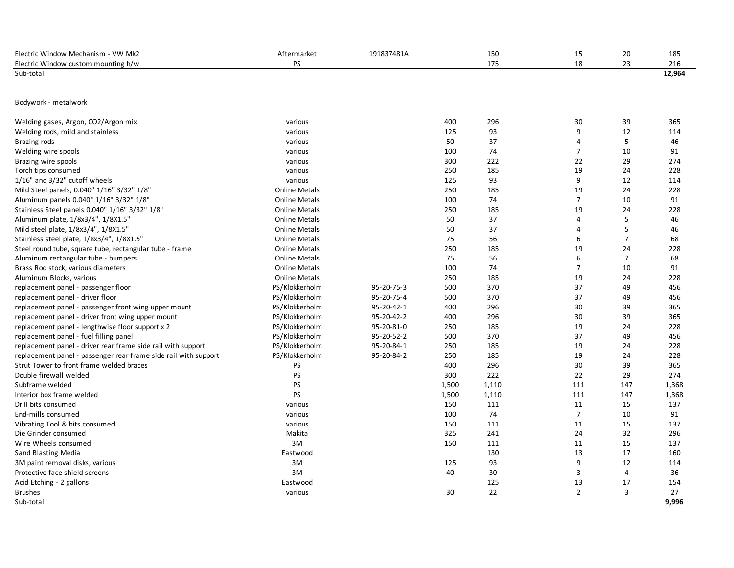| Electric Window Mechanism - VW Mk2                              | Aftermarket          | 191837481A |       | 150   | 15             | 20             | 185    |
|-----------------------------------------------------------------|----------------------|------------|-------|-------|----------------|----------------|--------|
| Electric Window custom mounting h/w                             | PS                   |            |       | 175   | 18             | 23             | 216    |
| Sub-total                                                       |                      |            |       |       |                |                | 12,964 |
|                                                                 |                      |            |       |       |                |                |        |
| Bodywork - metalwork                                            |                      |            |       |       |                |                |        |
|                                                                 |                      |            |       |       |                |                |        |
| Welding gases, Argon, CO2/Argon mix                             | various              |            | 400   | 296   | 30             | 39             | 365    |
| Welding rods, mild and stainless                                | various              |            | 125   | 93    | 9              | 12             | 114    |
| Brazing rods                                                    | various              |            | 50    | 37    | $\overline{a}$ | 5              | 46     |
| Welding wire spools                                             | various              |            | 100   | 74    | $\overline{7}$ | 10             | 91     |
| Brazing wire spools                                             | various              |            | 300   | 222   | 22             | 29             | 274    |
| Torch tips consumed                                             | various              |            | 250   | 185   | 19             | 24             | 228    |
| $1/16$ " and $3/32$ " cutoff wheels                             | various              |            | 125   | 93    | 9              | 12             | 114    |
| Mild Steel panels, 0.040" 1/16" 3/32" 1/8"                      | <b>Online Metals</b> |            | 250   | 185   | 19             | 24             | 228    |
| Aluminum panels 0.040" 1/16" 3/32" 1/8"                         | <b>Online Metals</b> |            | 100   | 74    | $\overline{7}$ | 10             | 91     |
| Stainless Steel panels 0.040" 1/16" 3/32" 1/8"                  | <b>Online Metals</b> |            | 250   | 185   | 19             | 24             | 228    |
| Aluminum plate, 1/8x3/4", 1/8X1.5"                              | <b>Online Metals</b> |            | 50    | 37    | $\overline{4}$ | 5              | 46     |
| Mild steel plate, 1/8x3/4", 1/8X1.5"                            | <b>Online Metals</b> |            | 50    | 37    | $\overline{a}$ | 5              | 46     |
| Stainless steel plate, 1/8x3/4", 1/8X1.5"                       | <b>Online Metals</b> |            | 75    | 56    | 6              | $\overline{7}$ | 68     |
| Steel round tube, square tube, rectangular tube - frame         | <b>Online Metals</b> |            | 250   | 185   | 19             | 24             | 228    |
| Aluminum rectangular tube - bumpers                             | <b>Online Metals</b> |            | 75    | 56    | 6              | $\overline{7}$ | 68     |
| Brass Rod stock, various diameters                              | <b>Online Metals</b> |            | 100   | 74    | $\overline{7}$ | 10             | 91     |
| Aluminum Blocks, various                                        | <b>Online Metals</b> |            | 250   | 185   | 19             | 24             | 228    |
| replacement panel - passenger floor                             | PS/Klokkerholm       | 95-20-75-3 | 500   | 370   | 37             | 49             | 456    |
| replacement panel - driver floor                                | PS/Klokkerholm       | 95-20-75-4 | 500   | 370   | 37             | 49             | 456    |
| replacement panel - passenger front wing upper mount            | PS/Klokkerholm       | 95-20-42-1 | 400   | 296   | 30             | 39             | 365    |
| replacement panel - driver front wing upper mount               | PS/Klokkerholm       | 95-20-42-2 | 400   | 296   | 30             | 39             | 365    |
| replacement panel - lengthwise floor support x 2                | PS/Klokkerholm       | 95-20-81-0 | 250   | 185   | 19             | 24             | 228    |
| replacement panel - fuel filling panel                          | PS/Klokkerholm       | 95-20-52-2 | 500   | 370   | 37             | 49             | 456    |
| replacement panel - driver rear frame side rail with support    | PS/Klokkerholm       | 95-20-84-1 | 250   | 185   | 19             | 24             | 228    |
| replacement panel - passenger rear frame side rail with support | PS/Klokkerholm       | 95-20-84-2 | 250   | 185   | 19             | 24             | 228    |
| Strut Tower to front frame welded braces                        | PS                   |            | 400   | 296   | 30             | 39             | 365    |
| Double firewall welded                                          | <b>PS</b>            |            | 300   | 222   | 22             | 29             | 274    |
| Subframe welded                                                 | PS                   |            | 1,500 | 1,110 | 111            | 147            | 1,368  |
| Interior box frame welded                                       | <b>PS</b>            |            | 1,500 | 1,110 | 111            | 147            | 1,368  |
| Drill bits consumed                                             | various              |            | 150   | 111   | 11             | 15             | 137    |
| End-mills consumed                                              | various              |            | 100   | 74    | $\overline{7}$ | 10             | 91     |
| Vibrating Tool & bits consumed                                  | various              |            | 150   | 111   | 11             | 15             | 137    |
| Die Grinder consumed                                            | Makita               |            | 325   | 241   | 24             | 32             | 296    |
| Wire Wheels consumed                                            | 3M                   |            | 150   | 111   | 11             | 15             | 137    |
| Sand Blasting Media                                             | Eastwood             |            |       | 130   | 13             | 17             | 160    |
| 3M paint removal disks, various                                 | 3M                   |            | 125   | 93    | 9              | 12             | 114    |
| Protective face shield screens                                  | 3M                   |            | 40    | 30    | 3              | $\overline{4}$ | 36     |
| Acid Etching - 2 gallons                                        | Eastwood             |            |       | 125   | 13             | 17             | 154    |
| <b>Brushes</b>                                                  | various              |            | 30    | 22    | $\overline{2}$ | 3              | 27     |
| Sub-total                                                       |                      |            |       |       |                |                | 9.996  |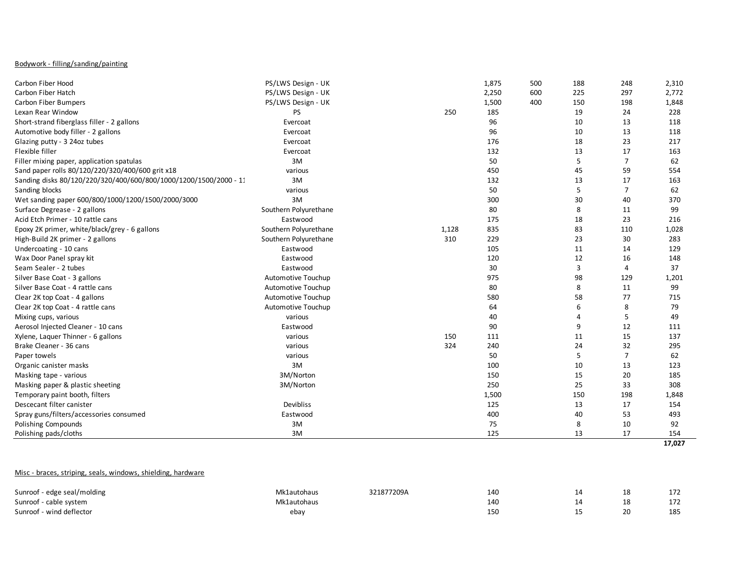## Bodywork - filling/sanding/painting

| Carbon Fiber Hood                                                 | PS/LWS Design - UK    |       | 1,875 | 500 | 188 | 248            | 2,310  |
|-------------------------------------------------------------------|-----------------------|-------|-------|-----|-----|----------------|--------|
| Carbon Fiber Hatch                                                | PS/LWS Design - UK    |       | 2,250 | 600 | 225 | 297            | 2,772  |
| Carbon Fiber Bumpers                                              | PS/LWS Design - UK    |       | 1,500 | 400 | 150 | 198            | 1,848  |
| Lexan Rear Window                                                 | PS                    | 250   | 185   |     | 19  | 24             | 228    |
| Short-strand fiberglass filler - 2 gallons                        | Evercoat              |       | 96    |     | 10  | 13             | 118    |
| Automotive body filler - 2 gallons                                | Evercoat              |       | 96    |     | 10  | 13             | 118    |
| Glazing putty - 3 24oz tubes                                      | Evercoat              |       | 176   |     | 18  | 23             | 217    |
| Flexible filler                                                   | Evercoat              |       | 132   |     | 13  | 17             | 163    |
| Filler mixing paper, application spatulas                         | 3M                    |       | 50    |     | 5   | $\overline{7}$ | 62     |
| Sand paper rolls 80/120/220/320/400/600 grit x18                  | various               |       | 450   |     | 45  | 59             | 554    |
| Sanding disks 80/120/220/320/400/600/800/1000/1200/1500/2000 - 11 | 3M                    |       | 132   |     | 13  | 17             | 163    |
| Sanding blocks                                                    | various               |       | 50    |     | 5   | $\overline{7}$ | 62     |
| Wet sanding paper 600/800/1000/1200/1500/2000/3000                | 3M                    |       | 300   |     | 30  | 40             | 370    |
| Surface Degrease - 2 gallons                                      | Southern Polyurethane |       | 80    |     | 8   | 11             | 99     |
| Acid Etch Primer - 10 rattle cans                                 | Eastwood              |       | 175   |     | 18  | 23             | 216    |
| Epoxy 2K primer, white/black/grey - 6 gallons                     | Southern Polyurethane | 1,128 | 835   |     | 83  | 110            | 1,028  |
| High-Build 2K primer - 2 gallons                                  | Southern Polyurethane | 310   | 229   |     | 23  | 30             | 283    |
| Undercoating - 10 cans                                            | Eastwood              |       | 105   |     | 11  | 14             | 129    |
| Wax Door Panel spray kit                                          | Eastwood              |       | 120   |     | 12  | 16             | 148    |
| Seam Sealer - 2 tubes                                             | Eastwood              |       | 30    |     | 3   | 4              | 37     |
| Silver Base Coat - 3 gallons                                      | Automotive Touchup    |       | 975   |     | 98  | 129            | 1,201  |
| Silver Base Coat - 4 rattle cans                                  | Automotive Touchup    |       | 80    |     | 8   | 11             | 99     |
| Clear 2K top Coat - 4 gallons                                     | Automotive Touchup    |       | 580   |     | 58  | 77             | 715    |
| Clear 2K top Coat - 4 rattle cans                                 | Automotive Touchup    |       | 64    |     | 6   | 8              | 79     |
| Mixing cups, various                                              | various               |       | 40    |     | Δ   | 5              | 49     |
| Aerosol Injected Cleaner - 10 cans                                | Eastwood              |       | 90    |     | 9   | 12             | 111    |
| Xylene, Laquer Thinner - 6 gallons                                | various               | 150   | 111   |     | 11  | 15             | 137    |
| Brake Cleaner - 36 cans                                           | various               | 324   | 240   |     | 24  | 32             | 295    |
| Paper towels                                                      | various               |       | 50    |     | 5   | $\overline{7}$ | 62     |
| Organic canister masks                                            | 3M                    |       | 100   |     | 10  | 13             | 123    |
| Masking tape - various                                            | 3M/Norton             |       | 150   |     | 15  | 20             | 185    |
| Masking paper & plastic sheeting                                  | 3M/Norton             |       | 250   |     | 25  | 33             | 308    |
| Temporary paint booth, filters                                    |                       |       | 1,500 |     | 150 | 198            | 1,848  |
| Descecant filter canister                                         | Devibliss             |       | 125   |     | 13  | 17             | 154    |
| Spray guns/filters/accessories consumed                           | Eastwood              |       | 400   |     | 40  | 53             | 493    |
| Polishing Compounds                                               | 3M                    |       | 75    |     | 8   | 10             | 92     |
| Polishing pads/cloths                                             | 3M                    |       | 125   |     | 13  | 17             | 154    |
|                                                                   |                       |       |       |     |     |                | 17,027 |

# Misc - braces, striping, seals, windows, shielding, hardware

| Sunroof - edge seal/molding | Vlk1autohaus | 321877209A | 140 | 18 | 172<br>172 |
|-----------------------------|--------------|------------|-----|----|------------|
| Sunroof - cable system      | Mk1autohaus  |            | 140 | 18 | 172        |
| - wind deflector<br>Sunroof | ebay         |            | 150 |    | 185        |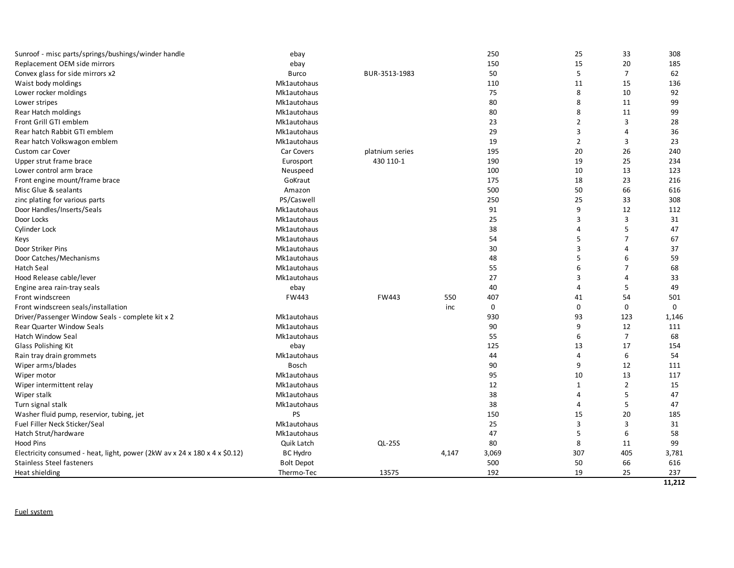| Sunroof - misc parts/springs/bushings/winder handle                        | ebay              |                 |       | 250   | 25             | 33             | 308    |
|----------------------------------------------------------------------------|-------------------|-----------------|-------|-------|----------------|----------------|--------|
| Replacement OEM side mirrors                                               | ebay              |                 |       | 150   | 15             | 20             | 185    |
| Convex glass for side mirrors x2                                           | <b>Burco</b>      | BUR-3513-1983   |       | 50    | 5              | $\overline{7}$ | 62     |
| Waist body moldings                                                        | Mk1autohaus       |                 |       | 110   | 11             | 15             | 136    |
| Lower rocker moldings                                                      | Mk1autohaus       |                 |       | 75    | 8              | 10             | 92     |
| Lower stripes                                                              | Mk1autohaus       |                 |       | 80    | 8              | 11             | 99     |
| Rear Hatch moldings                                                        | Mk1autohaus       |                 |       | 80    | 8              | 11             | 99     |
| Front Grill GTI emblem                                                     | Mk1autohaus       |                 |       | 23    | $\overline{2}$ | 3              | 28     |
| Rear hatch Rabbit GTI emblem                                               | Mk1autohaus       |                 |       | 29    | 3              | 4              | 36     |
| Rear hatch Volkswagon emblem                                               | Mk1autohaus       |                 |       | 19    | $\overline{2}$ | 3              | 23     |
| Custom car Cover                                                           | Car Covers        | platnium series |       | 195   | 20             | 26             | 240    |
| Upper strut frame brace                                                    | Eurosport         | 430 110-1       |       | 190   | 19             | 25             | 234    |
| Lower control arm brace                                                    | Neuspeed          |                 |       | 100   | 10             | 13             | 123    |
| Front engine mount/frame brace                                             | GoKraut           |                 |       | 175   | 18             | 23             | 216    |
| Misc Glue & sealants                                                       | Amazon            |                 |       | 500   | 50             | 66             | 616    |
| zinc plating for various parts                                             | PS/Caswell        |                 |       | 250   | 25             | 33             | 308    |
| Door Handles/Inserts/Seals                                                 | Mk1autohaus       |                 |       | 91    | 9              | 12             | 112    |
| Door Locks                                                                 | Mk1autohaus       |                 |       | 25    | 3              | 3              | 31     |
| Cylinder Lock                                                              | Mk1autohaus       |                 |       | 38    | 4              | 5              | 47     |
| Keys                                                                       | Mk1autohaus       |                 |       | 54    | 5              | $\overline{7}$ | 67     |
| Door Striker Pins                                                          | Mk1autohaus       |                 |       | 30    | 3              | 4              | 37     |
| Door Catches/Mechanisms                                                    | Mk1autohaus       |                 |       | 48    | 5              | 6              | 59     |
| <b>Hatch Seal</b>                                                          | Mk1autohaus       |                 |       | 55    | 6              | $\overline{7}$ | 68     |
| Hood Release cable/lever                                                   | Mk1autohaus       |                 |       | 27    | 3              | 4              | 33     |
| Engine area rain-tray seals                                                | ebay              |                 |       | 40    | 4              | 5              | 49     |
| Front windscreen                                                           | FW443             | FW443           | 550   | 407   | 41             | 54             | 501    |
| Front windscreen seals/installation                                        |                   |                 | inc   | 0     | $\mathbf 0$    | 0              | 0      |
| Driver/Passenger Window Seals - complete kit x 2                           | Mk1autohaus       |                 |       | 930   | 93             | 123            | 1,146  |
| <b>Rear Quarter Window Seals</b>                                           | Mk1autohaus       |                 |       | 90    | 9              | 12             | 111    |
| Hatch Window Seal                                                          | Mk1autohaus       |                 |       | 55    | 6              | $\overline{7}$ | 68     |
| Glass Polishing Kit                                                        | ebay              |                 |       | 125   | 13             | 17             | 154    |
| Rain tray drain grommets                                                   | Mk1autohaus       |                 |       | 44    | 4              | 6              | 54     |
| Wiper arms/blades                                                          | Bosch             |                 |       | 90    | 9              | 12             | 111    |
| Wiper motor                                                                | Mk1autohaus       |                 |       | 95    | 10             | 13             | 117    |
| Wiper intermittent relay                                                   | Mk1autohaus       |                 |       | 12    | $\mathbf{1}$   | $\overline{2}$ | 15     |
| Wiper stalk                                                                | Mk1autohaus       |                 |       | 38    | 4              | 5              | 47     |
| Turn signal stalk                                                          | Mk1autohaus       |                 |       | 38    | 4              | 5              | 47     |
| Washer fluid pump, reservior, tubing, jet                                  | <b>PS</b>         |                 |       | 150   | 15             | 20             | 185    |
| Fuel Filler Neck Sticker/Seal                                              | Mk1autohaus       |                 |       | 25    | 3              | 3              | 31     |
| Hatch Strut/hardware                                                       | Mk1autohaus       |                 |       | 47    | 5              | 6              | 58     |
| <b>Hood Pins</b>                                                           | Quik Latch        | <b>QL-25S</b>   |       | 80    | 8              | 11             | 99     |
| Electricity consumed - heat, light, power (2kW av x 24 x 180 x 4 x \$0.12) | <b>BC Hydro</b>   |                 | 4,147 | 3,069 | 307            | 405            | 3,781  |
| <b>Stainless Steel fasteners</b>                                           | <b>Bolt Depot</b> |                 |       | 500   | 50             | 66             | 616    |
| Heat shielding                                                             | Thermo-Tec        | 13575           |       | 192   | 19             | 25             | 237    |
|                                                                            |                   |                 |       |       |                |                | 11.212 |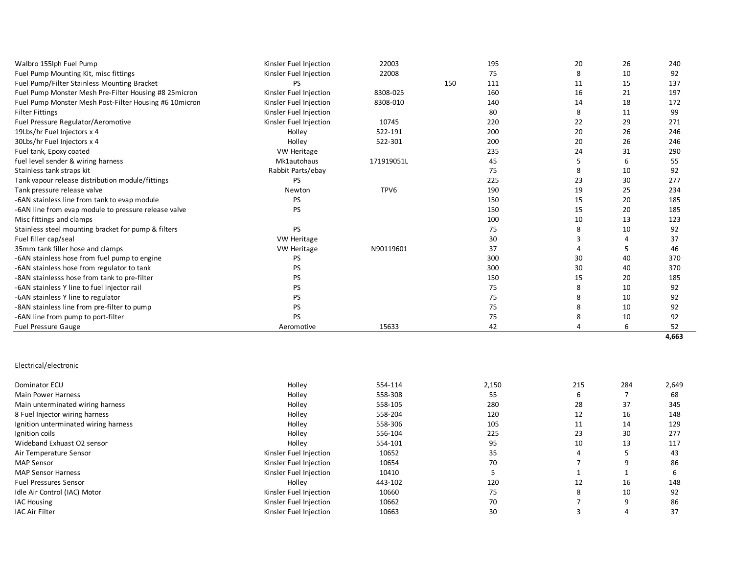| Walbro 155lph Fuel Pump                                | Kinsler Fuel Injection | 22003      |     | 195 | 20 | 26 | 240 |
|--------------------------------------------------------|------------------------|------------|-----|-----|----|----|-----|
| Fuel Pump Mounting Kit, misc fittings                  | Kinsler Fuel Injection | 22008      |     | 75  | 8  | 10 | 92  |
| Fuel Pump/Filter Stainless Mounting Bracket            | PS.                    |            | 150 | 111 | 11 | 15 | 137 |
| Fuel Pump Monster Mesh Pre-Filter Housing #8 25 micron | Kinsler Fuel Injection | 8308-025   |     | 160 | 16 | 21 | 197 |
| Fuel Pump Monster Mesh Post-Filter Housing #6 10micron | Kinsler Fuel Injection | 8308-010   |     | 140 | 14 | 18 | 172 |
| <b>Filter Fittings</b>                                 | Kinsler Fuel Injection |            |     | 80  | 8  | 11 | 99  |
| Fuel Pressure Regulator/Aeromotive                     | Kinsler Fuel Injection | 10745      |     | 220 | 22 | 29 | 271 |
| 19Lbs/hr Fuel Injectors x 4                            | Holley                 | 522-191    |     | 200 | 20 | 26 | 246 |
| 30Lbs/hr Fuel Injectors x 4                            | Holley                 | 522-301    |     | 200 | 20 | 26 | 246 |
| Fuel tank, Epoxy coated                                | <b>VW Heritage</b>     |            |     | 235 | 24 | 31 | 290 |
| fuel level sender & wiring harness                     | Mk1autohaus            | 171919051L |     | 45  |    |    | 55  |
| Stainless tank straps kit                              | Rabbit Parts/ebay      |            |     | 75  | 8  | 10 | 92  |
| Tank vapour release distribution module/fittings       | <b>PS</b>              |            |     | 225 | 23 | 30 | 277 |
| Tank pressure release valve                            | Newton                 | TPV6       |     | 190 | 19 | 25 | 234 |
| -6AN stainless line from tank to evap module           | <b>PS</b>              |            |     | 150 | 15 | 20 | 185 |
| -6AN line from evap module to pressure release valve   | <b>PS</b>              |            |     | 150 | 15 | 20 | 185 |
| Misc fittings and clamps                               |                        |            |     | 100 | 10 | 13 | 123 |
| Stainless steel mounting bracket for pump & filters    | <b>PS</b>              |            |     | 75  | 8  | 10 | 92  |
| Fuel filler cap/seal                                   | <b>VW Heritage</b>     |            |     | 30  |    |    | 37  |
| 35mm tank filler hose and clamps                       | <b>VW Heritage</b>     | N90119601  |     | 37  |    |    | 46  |
| -6AN stainless hose from fuel pump to engine           | <b>PS</b>              |            |     | 300 | 30 | 40 | 370 |
| -6AN stainless hose from regulator to tank             | PS                     |            |     | 300 | 30 | 40 | 370 |
| -8AN stainlesss hose from tank to pre-filter           | <b>PS</b>              |            |     | 150 | 15 | 20 | 185 |
| -6AN stainless Y line to fuel injector rail            | PS.                    |            |     | 75  | 8  | 10 | 92  |
| -6AN stainless Y line to regulator                     | PS.                    |            |     | 75  | 8  | 10 | 92  |
| -8AN stainless line from pre-filter to pump            | PS.                    |            |     | 75  | 8  | 10 | 92  |
| -6AN line from pump to port-filter                     | <b>PS</b>              |            |     | 75  |    | 10 | 92  |
| <b>Fuel Pressure Gauge</b>                             | Aeromotive             | 15633      |     | 42  |    |    | 52  |

# Electrical/electronic

| Dominator ECU                        | Holley                 | 554-114 | 2,150 | 215 | 284 | 2,649 |
|--------------------------------------|------------------------|---------|-------|-----|-----|-------|
| <b>Main Power Harness</b>            | Holley                 | 558-308 | 55    | 6   |     | 68    |
| Main unterminated wiring harness     | Holley                 | 558-105 | 280   | 28  | 37  | 345   |
| 8 Fuel Injector wiring harness       | Holley                 | 558-204 | 120   | 12  | 16  | 148   |
| Ignition unterminated wiring harness | Holley                 | 558-306 | 105   | 11  | 14  | 129   |
| Ignition coils                       | Holley                 | 556-104 | 225   | 23  | 30  | 277   |
| Wideband Exhuast O2 sensor           | Holley                 | 554-101 | 95    | 10  | 13  | 117   |
| Air Temperature Sensor               | Kinsler Fuel Injection | 10652   | 35    |     |     | 43    |
| <b>MAP Sensor</b>                    | Kinsler Fuel Injection | 10654   | 70    |     | q   | 86    |
| <b>MAP Sensor Harness</b>            | Kinsler Fuel Injection | 10410   |       |     |     | b     |
| <b>Fuel Pressures Sensor</b>         | Holley                 | 443-102 | 120   | 12  | 16  | 148   |
| Idle Air Control (IAC) Motor         | Kinsler Fuel Injection | 10660   | 75    | 8   | 10  | 92    |
| <b>IAC Housing</b>                   | Kinsler Fuel Injection | 10662   | 70    |     | q   | 86    |
| <b>IAC Air Filter</b>                | Kinsler Fuel Injection | 10663   | 30    |     |     | 37    |

**4,663**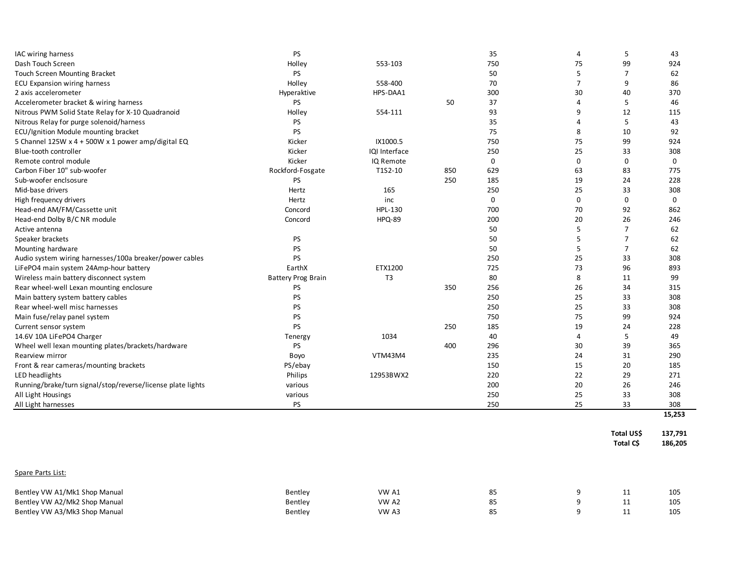| IAC wiring harness                                          | <b>PS</b>                 |                |     | 35          | 4              | 5              | 43          |
|-------------------------------------------------------------|---------------------------|----------------|-----|-------------|----------------|----------------|-------------|
| Dash Touch Screen                                           | Holley                    | 553-103        |     | 750         | 75             | 99             | 924         |
| Touch Screen Mounting Bracket                               | PS                        |                |     | 50          | 5              | 7              | 62          |
| ECU Expansion wiring harness                                | Holley                    | 558-400        |     | 70          | $\overline{7}$ | 9              | 86          |
| 2 axis accelerometer                                        | Hyperaktive               | HPS-DAA1       |     | 300         | 30             | 40             | 370         |
| Accelerometer bracket & wiring harness                      | <b>PS</b>                 |                | 50  | 37          | $\overline{4}$ | 5              | 46          |
| Nitrous PWM Solid State Relay for X-10 Quadranoid           | Holley                    | 554-111        |     | 93          | 9              | 12             | 115         |
| Nitrous Relay for purge solenoid/harness                    | <b>PS</b>                 |                |     | 35          | 4              | 5              | 43          |
| ECU/Ignition Module mounting bracket                        | <b>PS</b>                 |                |     | 75          | 8              | 10             | 92          |
| 5 Channel 125W x 4 + 500W x 1 power amp/digital EQ          | Kicker                    | IX1000.5       |     | 750         | 75             | 99             | 924         |
| Blue-tooth controller                                       | Kicker                    | IQI Interface  |     | 250         | 25             | 33             | 308         |
| Remote control module                                       | Kicker                    | IQ Remote      |     | $\mathbf 0$ | $\mathbf 0$    | $\mathbf 0$    | $\mathbf 0$ |
| Carbon Fiber 10" sub-woofer                                 | Rockford-Fosgate          | T1S2-10        | 850 | 629         | 63             | 83             | 775         |
| Sub-woofer enclsosure                                       | <b>PS</b>                 |                | 250 | 185         | 19             | 24             | 228         |
| Mid-base drivers                                            | Hertz                     | 165            |     | 250         | 25             | 33             | 308         |
| High frequency drivers                                      | Hertz                     | inc            |     | $\mathbf 0$ | $\mathbf 0$    | 0              | $\mathbf 0$ |
| Head-end AM/FM/Cassette unit                                | Concord                   | HPL-130        |     | 700         | 70             | 92             | 862         |
| Head-end Dolby B/C NR module                                | Concord                   | <b>HPQ-89</b>  |     | 200         | 20             | 26             | 246         |
| Active antenna                                              |                           |                |     | 50          | 5              | $\overline{7}$ | 62          |
| Speaker brackets                                            | PS                        |                |     | 50          | 5              | $\overline{7}$ | 62          |
| Mounting hardware                                           | PS                        |                |     | 50          | 5              | $\overline{7}$ | 62          |
| Audio system wiring harnesses/100a breaker/power cables     | <b>PS</b>                 |                |     | 250         | 25             | 33             | 308         |
| LiFePO4 main system 24Amp-hour battery                      | EarthX                    | ETX1200        |     | 725         | 73             | 96             | 893         |
| Wireless main battery disconnect system                     | <b>Battery Prog Brain</b> | T <sub>3</sub> |     | 80          | 8              | 11             | 99          |
| Rear wheel-well Lexan mounting enclosure                    | PS                        |                | 350 | 256         | 26             | 34             | 315         |
| Main battery system battery cables                          | PS                        |                |     | 250         | 25             | 33             | 308         |
| Rear wheel-well misc harnesses                              | PS                        |                |     | 250         | 25             | 33             | 308         |
| Main fuse/relay panel system                                | <b>PS</b>                 |                |     | 750         | 75             | 99             | 924         |
| Current sensor system                                       | PS                        |                | 250 | 185         | 19             | 24             | 228         |
| 14.6V 10A LiFePO4 Charger                                   | Tenergy                   | 1034           |     | 40          | 4              | 5              | 49          |
| Wheel well lexan mounting plates/brackets/hardware          | PS                        |                | 400 | 296         | 30             | 39             | 365         |
| Rearview mirror                                             | Boyo                      | VTM43M4        |     | 235         | 24             | 31             | 290         |
| Front & rear cameras/mounting brackets                      | PS/ebay                   |                |     | 150         | 15             | 20             | 185         |
| LED headlights                                              | Philips                   | 12953BWX2      |     | 220         | 22             | 29             | 271         |
| Running/brake/turn signal/stop/reverse/license plate lights | various                   |                |     | 200         | 20             | 26             | 246         |
| All Light Housings                                          | various                   |                |     | 250         | 25             | 33             | 308         |
| All Light harnesses                                         | PS                        |                |     | 250         | 25             | 33             | 308         |
|                                                             |                           |                |     |             |                |                | 15,253      |
|                                                             |                           |                |     |             |                |                |             |
|                                                             |                           |                |     |             |                | Total US\$     | 137,791     |
|                                                             |                           |                |     |             |                | Total C\$      | 186,205     |
|                                                             |                           |                |     |             |                |                |             |
|                                                             |                           |                |     |             |                |                |             |
| Spare Parts List:                                           |                           |                |     |             |                |                |             |
|                                                             |                           |                |     |             |                |                |             |

| Bentley VW A1/Mk1 Shop Manual | Bentley | VW A  |           |  | 105 |
|-------------------------------|---------|-------|-----------|--|-----|
| Bentley VW A2/Mk2 Shop Manual | Bentley | VW Az |           |  | 105 |
| Bentley VW A3/Mk3 Shop Manual | Bentley | VW A5 | <b>00</b> |  | 105 |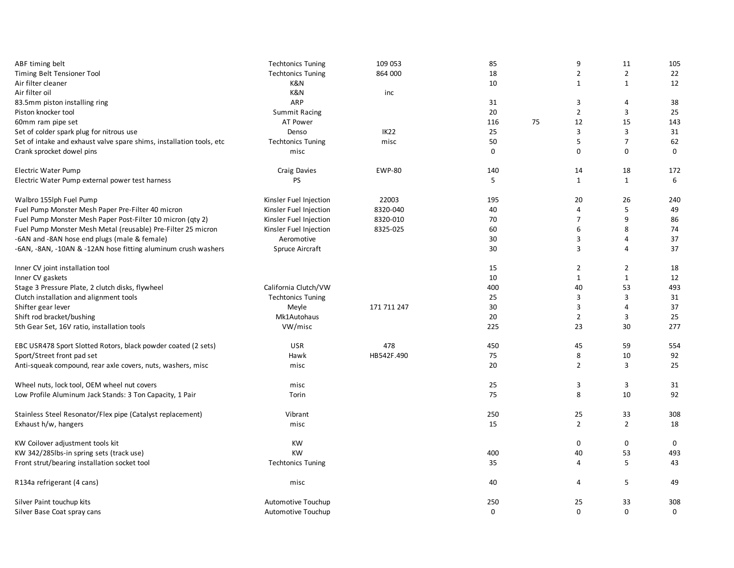| ABF timing belt                                                      | <b>Techtonics Tuning</b> | 109 053       | 85       |    | 9              | 11             | 105         |
|----------------------------------------------------------------------|--------------------------|---------------|----------|----|----------------|----------------|-------------|
| Timing Belt Tensioner Tool                                           | <b>Techtonics Tuning</b> | 864 000       | 18       |    | $\overline{2}$ | $\overline{2}$ | 22          |
| Air filter cleaner                                                   | K&N                      |               | 10       |    | $\mathbf{1}$   | $\mathbf{1}$   | 12          |
| Air filter oil                                                       | K&N                      | inc           |          |    |                |                |             |
| 83.5mm piston installing ring                                        | ARP                      |               | 31       |    | 3              | 4              | 38          |
| Piston knocker tool                                                  | <b>Summit Racing</b>     |               | 20       |    | $\overline{2}$ | 3              | 25          |
| 60mm ram pipe set                                                    | AT Power                 |               | 116      | 75 | 12             | 15             | 143         |
| Set of colder spark plug for nitrous use                             | Denso                    | <b>IK22</b>   | 25       |    | 3              | 3              | 31          |
| Set of intake and exhaust valve spare shims, installation tools, etc | <b>Techtonics Tuning</b> | misc          | 50       |    | 5              | $\overline{7}$ | 62          |
| Crank sprocket dowel pins                                            | misc                     |               | 0        |    | $\Omega$       | 0              | $\Omega$    |
| Electric Water Pump                                                  | Craig Davies             | <b>EWP-80</b> | 140      |    | 14             | 18             | 172         |
| Electric Water Pump external power test harness                      | PS                       |               | 5        |    | $\mathbf{1}$   | $\mathbf{1}$   | 6           |
| Walbro 155lph Fuel Pump                                              | Kinsler Fuel Injection   | 22003         | 195      |    | 20             | 26             | 240         |
| Fuel Pump Monster Mesh Paper Pre-Filter 40 micron                    | Kinsler Fuel Injection   | 8320-040      | 40       |    | $\overline{4}$ | 5              | 49          |
| Fuel Pump Monster Mesh Paper Post-Filter 10 micron (qty 2)           | Kinsler Fuel Injection   | 8320-010      | 70       |    | $\overline{7}$ | 9              | 86          |
| Fuel Pump Monster Mesh Metal (reusable) Pre-Filter 25 micron         | Kinsler Fuel Injection   | 8325-025      | 60       |    | 6              | 8              | 74          |
| -6AN and -8AN hose end plugs (male & female)                         | Aeromotive               |               | 30       |    | 3              | 4              | 37          |
| -6AN, -8AN, -10AN & -12AN hose fitting aluminum crush washers        | Spruce Aircraft          |               | 30       |    | $\overline{3}$ | 4              | 37          |
| Inner CV joint installation tool                                     |                          |               | 15       |    | $\overline{2}$ | $\overline{2}$ | 18          |
| Inner CV gaskets                                                     |                          |               | 10       |    | $\mathbf{1}$   | $\mathbf{1}$   | 12          |
| Stage 3 Pressure Plate, 2 clutch disks, flywheel                     | California Clutch/VW     |               | 400      |    | 40             | 53             | 493         |
| Clutch installation and alignment tools                              | <b>Techtonics Tuning</b> |               | 25       |    | 3              | 3              | 31          |
| Shifter gear lever                                                   | Meyle                    | 171 711 247   | 30       |    | 3              | 4              | 37          |
| Shift rod bracket/bushing                                            | Mk1Autohaus              |               | 20       |    | $\overline{2}$ | 3              | 25          |
| 5th Gear Set, 16V ratio, installation tools                          | VW/misc                  |               | 225      |    | 23             | 30             | 277         |
| EBC USR478 Sport Slotted Rotors, black powder coated (2 sets)        | <b>USR</b>               | 478           | 450      |    | 45             | 59             | 554         |
| Sport/Street front pad set                                           | Hawk                     | HB542F.490    | 75       |    | 8              | 10             | 92          |
| Anti-squeak compound, rear axle covers, nuts, washers, misc          | misc                     |               | 20       |    | $\overline{2}$ | 3              | 25          |
| Wheel nuts, lock tool, OEM wheel nut covers                          | misc                     |               | 25       |    | 3              | 3              | 31          |
| Low Profile Aluminum Jack Stands: 3 Ton Capacity, 1 Pair             | Torin                    |               | 75       |    | 8              | 10             | 92          |
| Stainless Steel Resonator/Flex pipe (Catalyst replacement)           | Vibrant                  |               | 250      |    | 25             | 33             | 308         |
| Exhaust h/w, hangers                                                 | misc                     |               | 15       |    | $\overline{2}$ | $\overline{2}$ | 18          |
| KW Coilover adjustment tools kit                                     | <b>KW</b>                |               |          |    | 0              | 0              | 0           |
| KW 342/285lbs-in spring sets (track use)                             | <b>KW</b>                |               | 400      |    | 40             | 53             | 493         |
| Front strut/bearing installation socket tool                         | <b>Techtonics Tuning</b> |               | 35       |    | $\overline{4}$ | 5              | 43          |
| R134a refrigerant (4 cans)                                           | misc                     |               | 40       |    | 4              | 5              | 49          |
| Silver Paint touchup kits                                            | Automotive Touchup       |               | 250      |    | 25             | 33             | 308         |
| Silver Base Coat spray cans                                          | Automotive Touchup       |               | $\Omega$ |    | $\Omega$       | 0              | $\mathbf 0$ |